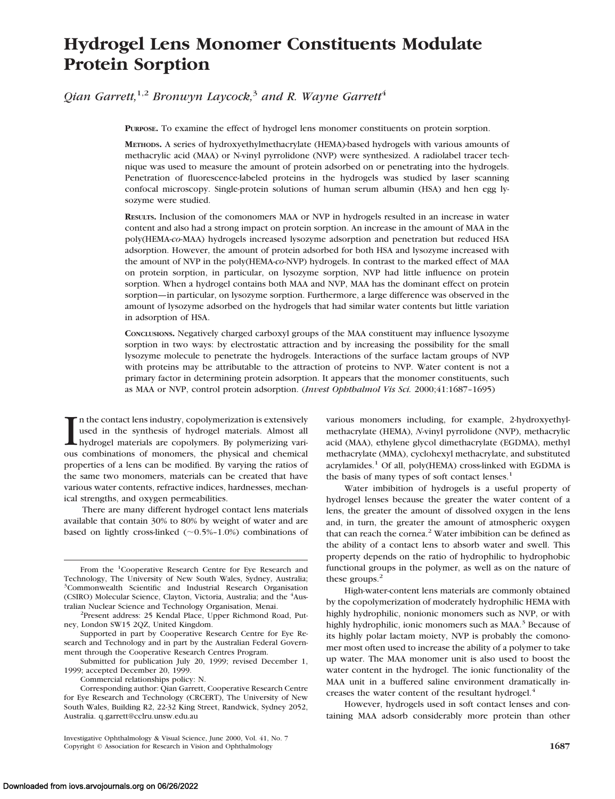# **Hydrogel Lens Monomer Constituents Modulate Protein Sorption**

*Qian Garrett*,<sup>1,2</sup> *Bronwyn Laycock*<sup>3</sup> *and R. Wayne Garrett*<sup>4</sup>

**PURPOSE.** To examine the effect of hydrogel lens monomer constituents on protein sorption.

**METHODS.** A series of hydroxyethylmethacrylate (HEMA)-based hydrogels with various amounts of methacrylic acid (MAA) or N-vinyl pyrrolidone (NVP) were synthesized. A radiolabel tracer technique was used to measure the amount of protein adsorbed on or penetrating into the hydrogels. Penetration of fluorescence-labeled proteins in the hydrogels was studied by laser scanning confocal microscopy. Single-protein solutions of human serum albumin (HSA) and hen egg lysozyme were studied.

**RESULTS.** Inclusion of the comonomers MAA or NVP in hydrogels resulted in an increase in water content and also had a strong impact on protein sorption. An increase in the amount of MAA in the poly(HEMA*-co-*MAA) hydrogels increased lysozyme adsorption and penetration but reduced HSA adsorption. However, the amount of protein adsorbed for both HSA and lysozyme increased with the amount of NVP in the poly(HEMA*-co-*NVP) hydrogels. In contrast to the marked effect of MAA on protein sorption, in particular, on lysozyme sorption, NVP had little influence on protein sorption. When a hydrogel contains both MAA and NVP, MAA has the dominant effect on protein sorption—in particular, on lysozyme sorption. Furthermore, a large difference was observed in the amount of lysozyme adsorbed on the hydrogels that had similar water contents but little variation in adsorption of HSA.

**CONCLUSIONS.** Negatively charged carboxyl groups of the MAA constituent may influence lysozyme sorption in two ways: by electrostatic attraction and by increasing the possibility for the small lysozyme molecule to penetrate the hydrogels. Interactions of the surface lactam groups of NVP with proteins may be attributable to the attraction of proteins to NVP. Water content is not a primary factor in determining protein adsorption. It appears that the monomer constituents, such as MAA or NVP, control protein adsorption. (*Invest Ophthalmol Vis Sci.* 2000;41:1687–1695)

I n the contact lens industry, copolymerization is extensively used in the synthesis of hydrogel materials. Almost all hydrogel materials are copolymers. By polymerizing various combinations of monomers, the physical and chemical properties of a lens can be modified. By varying the ratios of the same two monomers, materials can be created that have various water contents, refractive indices, hardnesses, mechanical strengths, and oxygen permeabilities.

There are many different hydrogel contact lens materials available that contain 30% to 80% by weight of water and are based on lightly cross-linked  $(\sim 0.5\% - 1.0\%)$  combinations of

various monomers including, for example, 2-hydroxyethylmethacrylate (HEMA), *N*-vinyl pyrrolidone (NVP), methacrylic acid (MAA), ethylene glycol dimethacrylate (EGDMA), methyl methacrylate (MMA), cyclohexyl methacrylate, and substituted acrylamides.<sup>1</sup> Of all, poly(HEMA) cross-linked with EGDMA is the basis of many types of soft contact lenses. $<sup>1</sup>$ </sup>

Water imbibition of hydrogels is a useful property of hydrogel lenses because the greater the water content of a lens, the greater the amount of dissolved oxygen in the lens and, in turn, the greater the amount of atmospheric oxygen that can reach the cornea.<sup>2</sup> Water imbibition can be defined as the ability of a contact lens to absorb water and swell. This property depends on the ratio of hydrophilic to hydrophobic functional groups in the polymer, as well as on the nature of these groups.<sup>2</sup>

High-water-content lens materials are commonly obtained by the copolymerization of moderately hydrophilic HEMA with highly hydrophilic, nonionic monomers such as NVP, or with highly hydrophilic, ionic monomers such as MAA.<sup>3</sup> Because of its highly polar lactam moiety, NVP is probably the comonomer most often used to increase the ability of a polymer to take up water. The MAA monomer unit is also used to boost the water content in the hydrogel. The ionic functionality of the MAA unit in a buffered saline environment dramatically increases the water content of the resultant hydrogel.<sup>4</sup>

However, hydrogels used in soft contact lenses and containing MAA adsorb considerably more protein than other

From the <sup>1</sup>Cooperative Research Centre for Eye Research and Technology, The University of New South Wales, Sydney, Australia; 3 Commonwealth Scientific and Industrial Research Organisation (CSIRO) Molecular Science, Clayton, Victoria, Australia; and the <sup>4</sup>Australian Nuclear Science and Technology Organisation, Menai. <sup>2</sup>

<sup>&</sup>lt;sup>2</sup>Present address: 25 Kendal Place, Upper Richmond Road, Putney, London SW15 2QZ, United Kingdom.

Supported in part by Cooperative Research Centre for Eye Research and Technology and in part by the Australian Federal Government through the Cooperative Research Centres Program.

Submitted for publication July 20, 1999; revised December 1, 1999; accepted December 20, 1999.

Commercial relationships policy: N.

Corresponding author: Qian Garrett, Cooperative Research Centre for Eye Research and Technology (CRCERT), The University of New South Wales, Building R2, 22-32 King Street, Randwick, Sydney 2052, Australia. q.garrett@cclru.unsw.edu.au

Investigative Ophthalmology & Visual Science, June 2000, Vol. 41, No. 7 Copyright © Association for Research in Vision and Ophthalmology **1687**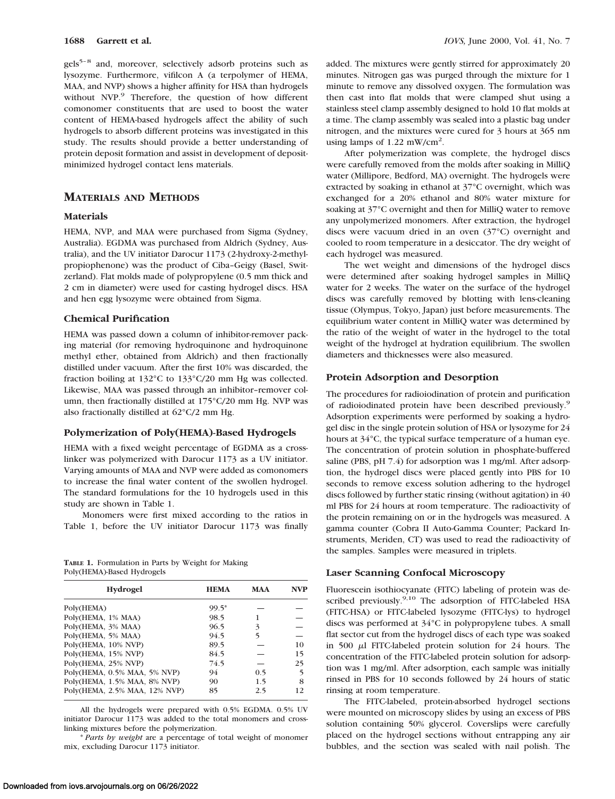gels<sup>5-8</sup> and, moreover, selectively adsorb proteins such as lysozyme. Furthermore, vifilcon A (a terpolymer of HEMA, MAA, and NVP) shows a higher affinity for HSA than hydrogels without NVP.<sup>9</sup> Therefore, the question of how different comonomer constituents that are used to boost the water content of HEMA-based hydrogels affect the ability of such hydrogels to absorb different proteins was investigated in this study. The results should provide a better understanding of protein deposit formation and assist in development of depositminimized hydrogel contact lens materials.

# **MATERIALS AND METHODS**

#### **Materials**

HEMA, NVP, and MAA were purchased from Sigma (Sydney, Australia). EGDMA was purchased from Aldrich (Sydney, Australia), and the UV initiator Darocur 1173 (2-hydroxy-2-methylpropiophenone) was the product of Ciba–Geigy (Basel, Switzerland). Flat molds made of polypropylene (0.5 mm thick and 2 cm in diameter) were used for casting hydrogel discs. HSA and hen egg lysozyme were obtained from Sigma.

## **Chemical Purification**

HEMA was passed down a column of inhibitor-remover packing material (for removing hydroquinone and hydroquinone methyl ether, obtained from Aldrich) and then fractionally distilled under vacuum. After the first 10% was discarded, the fraction boiling at 132°C to 133°C/20 mm Hg was collected. Likewise, MAA was passed through an inhibitor–remover column, then fractionally distilled at 175°C/20 mm Hg. NVP was also fractionally distilled at 62°C/2 mm Hg.

#### **Polymerization of Poly(HEMA)-Based Hydrogels**

HEMA with a fixed weight percentage of EGDMA as a crosslinker was polymerized with Darocur 1173 as a UV initiator. Varying amounts of MAA and NVP were added as comonomers to increase the final water content of the swollen hydrogel. The standard formulations for the 10 hydrogels used in this study are shown in Table 1.

Monomers were first mixed according to the ratios in Table 1, before the UV initiator Darocur 1173 was finally

**TABLE 1.** Formulation in Parts by Weight for Making Poly(HEMA)-Based Hydrogels

| <b>Hydrogel</b>               | <b>HEMA</b> | <b>MAA</b> | <b>NVP</b> |
|-------------------------------|-------------|------------|------------|
| Poly(HEMA)                    | $99.5*$     |            |            |
| Poly(HEMA, 1% MAA)            | 98.5        |            |            |
| Poly(HEMA, 3% MAA)            | 96.5        | 3          |            |
| Poly(HEMA, 5% MAA)            | 94.5        | 5          |            |
| Poly(HEMA, 10% NVP)           | 89.5        |            | 10         |
| Poly(HEMA, 15% NVP)           | 84.5        |            | 15         |
| Poly(HEMA, 25% NVP)           | 74.5        |            | 25         |
| Poly(HEMA, 0.5% MAA, 5% NVP)  | 94          | 0.5        | 5          |
| Poly(HEMA, 1.5% MAA, 8% NVP)  | 90          | 1.5        | 8          |
| Poly(HEMA, 2.5% MAA, 12% NVP) | 85          | 2.5        | 12         |

All the hydrogels were prepared with 0.5% EGDMA. 0.5% UV initiator Darocur 1173 was added to the total monomers and crosslinking mixtures before the polymerization.

\* *Parts by weight* are a percentage of total weight of monomer mix, excluding Darocur 1173 initiator.

added. The mixtures were gently stirred for approximately 20 minutes. Nitrogen gas was purged through the mixture for 1 minute to remove any dissolved oxygen. The formulation was then cast into flat molds that were clamped shut using a stainless steel clamp assembly designed to hold 10 flat molds at a time. The clamp assembly was sealed into a plastic bag under nitrogen, and the mixtures were cured for 3 hours at 365 nm using lamps of  $1.22$  mW/cm<sup>2</sup>.

After polymerization was complete, the hydrogel discs were carefully removed from the molds after soaking in MilliQ water (Millipore, Bedford, MA) overnight. The hydrogels were extracted by soaking in ethanol at 37°C overnight, which was exchanged for a 20% ethanol and 80% water mixture for soaking at 37°C overnight and then for MilliQ water to remove any unpolymerized monomers. After extraction, the hydrogel discs were vacuum dried in an oven (37°C) overnight and cooled to room temperature in a desiccator. The dry weight of each hydrogel was measured.

The wet weight and dimensions of the hydrogel discs were determined after soaking hydrogel samples in MilliQ water for 2 weeks. The water on the surface of the hydrogel discs was carefully removed by blotting with lens-cleaning tissue (Olympus, Tokyo, Japan) just before measurements. The equilibrium water content in MilliQ water was determined by the ratio of the weight of water in the hydrogel to the total weight of the hydrogel at hydration equilibrium. The swollen diameters and thicknesses were also measured.

#### **Protein Adsorption and Desorption**

The procedures for radioiodination of protein and purification of radioiodinated protein have been described previously.9 Adsorption experiments were performed by soaking a hydrogel disc in the single protein solution of HSA or lysozyme for 24 hours at 34°C, the typical surface temperature of a human eye. The concentration of protein solution in phosphate-buffered saline (PBS, pH 7.4) for adsorption was 1 mg/ml. After adsorption, the hydrogel discs were placed gently into PBS for 10 seconds to remove excess solution adhering to the hydrogel discs followed by further static rinsing (without agitation) in 40 ml PBS for 24 hours at room temperature. The radioactivity of the protein remaining on or in the hydrogels was measured. A gamma counter (Cobra II Auto-Gamma Counter; Packard Instruments, Meriden, CT) was used to read the radioactivity of the samples. Samples were measured in triplets.

#### **Laser Scanning Confocal Microscopy**

Fluorescein isothiocyanate (FITC) labeling of protein was described previously.<sup>9,10</sup> The adsorption of FITC-labeled HSA (FITC-HSA) or FITC-labeled lysozyme (FITC-lys) to hydrogel discs was performed at 34°C in polypropylene tubes. A small flat sector cut from the hydrogel discs of each type was soaked in 500  $\mu$ l FITC-labeled protein solution for 24 hours. The concentration of the FITC-labeled protein solution for adsorption was 1 mg/ml. After adsorption, each sample was initially rinsed in PBS for 10 seconds followed by 24 hours of static rinsing at room temperature.

The FITC-labeled, protein-absorbed hydrogel sections were mounted on microscopy slides by using an excess of PBS solution containing 50% glycerol. Coverslips were carefully placed on the hydrogel sections without entrapping any air bubbles, and the section was sealed with nail polish. The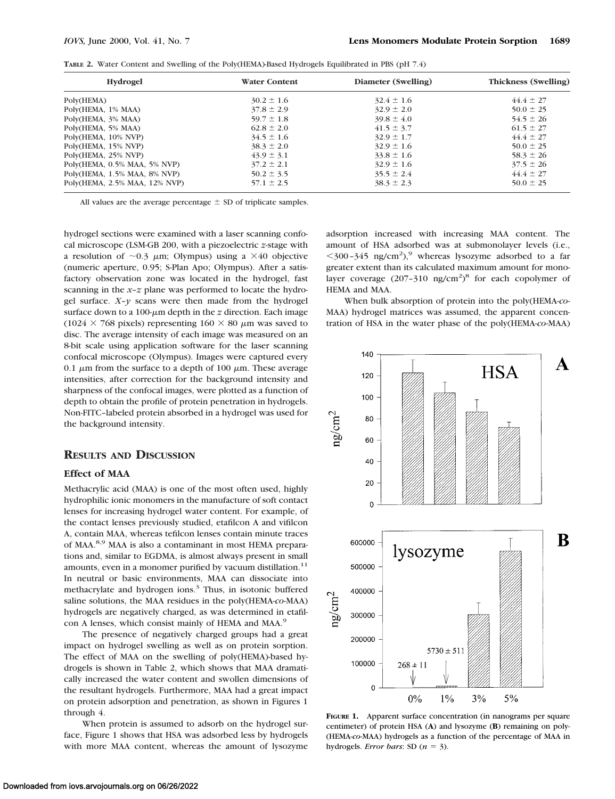**TABLE 2.** Water Content and Swelling of the Poly(HEMA)-Based Hydrogels Equilibrated in PBS (pH 7.4)

| <b>Hydrogel</b>               | <b>Water Content</b> | Diameter (Swelling) | <b>Thickness (Swelling)</b> |
|-------------------------------|----------------------|---------------------|-----------------------------|
| Poly(HEMA)                    | $30.2 \pm 1.6$       | $32.4 \pm 1.6$      | $44.4 \pm 27$               |
| Poly(HEMA, 1% MAA)            | $37.8 \pm 2.9$       | $32.9 \pm 2.0$      | $50.0 \pm 25$               |
| Poly(HEMA, 3% MAA)            | $59.7 \pm 1.8$       | $39.8 \pm 4.0$      | $54.5 \pm 26$               |
| Poly(HEMA, 5% MAA)            | $62.8 \pm 2.0$       | $41.5 \pm 3.7$      | $61.5 \pm 27$               |
| Poly(HEMA, 10% NVP)           | $34.5 \pm 1.6$       | $32.9 \pm 1.7$      | $44.4 \pm 27$               |
| Poly(HEMA, 15% NVP)           | $38.3 \pm 2.0$       | $32.9 \pm 1.6$      | $50.0 \pm 25$               |
| Poly(HEMA, 25% NVP)           | $43.9 \pm 3.1$       | $33.8 \pm 1.6$      | $58.3 \pm 26$               |
| Poly(HEMA, 0.5% MAA, 5% NVP)  | $37.2 \pm 2.1$       | $32.9 \pm 1.6$      | $37.5 \pm 26$               |
| Poly(HEMA, 1.5% MAA, 8% NVP)  | $50.2 \pm 3.5$       | $35.5 \pm 2.4$      | $44.4 \pm 27$               |
| Poly(HEMA, 2.5% MAA, 12% NVP) | $57.1 \pm 2.5$       | $38.3 \pm 2.3$      | $50.0 \pm 25$               |

All values are the average percentage  $\pm$  SD of triplicate samples.

hydrogel sections were examined with a laser scanning confocal microscope (LSM-GB 200, with a piezoelectric *z*-stage with a resolution of  $\sim$ 0.3  $\mu$ m; Olympus) using a  $\times$ 40 objective (numeric aperture, 0.95; S-Plan Apo; Olympus). After a satisfactory observation zone was located in the hydrogel, fast scanning in the *x–z* plane was performed to locate the hydrogel surface.  $X-y$  scans were then made from the hydrogel surface down to a 100- $\mu$ m depth in the *z* direction. Each image (1024  $\times$  768 pixels) representing 160  $\times$  80  $\mu$ m was saved to disc. The average intensity of each image was measured on an 8-bit scale using application software for the laser scanning confocal microscope (Olympus). Images were captured every 0.1  $\mu$ m from the surface to a depth of 100  $\mu$ m. These average intensities, after correction for the background intensity and sharpness of the confocal images, were plotted as a function of depth to obtain the profile of protein penetration in hydrogels. Non-FITC–labeled protein absorbed in a hydrogel was used for the background intensity.

## **RESULTS AND DISCUSSION**

# **Effect of MAA**

Methacrylic acid (MAA) is one of the most often used, highly hydrophilic ionic monomers in the manufacture of soft contact lenses for increasing hydrogel water content. For example, of the contact lenses previously studied, etafilcon A and vifilcon A, contain MAA, whereas tefilcon lenses contain minute traces of MAA.8,9 MAA is also a contaminant in most HEMA preparations and, similar to EGDMA, is almost always present in small amounts, even in a monomer purified by vacuum distillation.<sup>11</sup> In neutral or basic environments, MAA can dissociate into methacrylate and hydrogen ions.<sup>3</sup> Thus, in isotonic buffered saline solutions, the MAA residues in the poly(HEMA*-co-*MAA) hydrogels are negatively charged, as was determined in etafilcon A lenses, which consist mainly of HEMA and MAA.<sup>9</sup>

The presence of negatively charged groups had a great impact on hydrogel swelling as well as on protein sorption. The effect of MAA on the swelling of poly(HEMA)-based hydrogels is shown in Table 2, which shows that MAA dramatically increased the water content and swollen dimensions of the resultant hydrogels. Furthermore, MAA had a great impact on protein adsorption and penetration, as shown in Figures 1 through 4.

When protein is assumed to adsorb on the hydrogel surface, Figure 1 shows that HSA was adsorbed less by hydrogels with more MAA content, whereas the amount of lysozyme

adsorption increased with increasing MAA content. The amount of HSA adsorbed was at submonolayer levels (i.e.,  $<$ 300–345 ng/cm<sup>2</sup>),<sup>9</sup> whereas lysozyme adsorbed to a far greater extent than its calculated maximum amount for monolayer coverage  $(207-310 \text{ ng/cm}^2)^8$  for each copolymer of HEMA and MAA.

When bulk absorption of protein into the poly(HEMA*-co-*MAA) hydrogel matrices was assumed, the apparent concentration of HSA in the water phase of the poly(HEMA*-co-*MAA)



**FIGURE 1.** Apparent surface concentration (in nanograms per square centimeter) of protein HSA (**A**) and lysozyme (**B**) remaining on poly- (HEMA*-co-*MAA) hydrogels as a function of the percentage of MAA in hydrogels. *Error bars*: SD  $(n = 3)$ .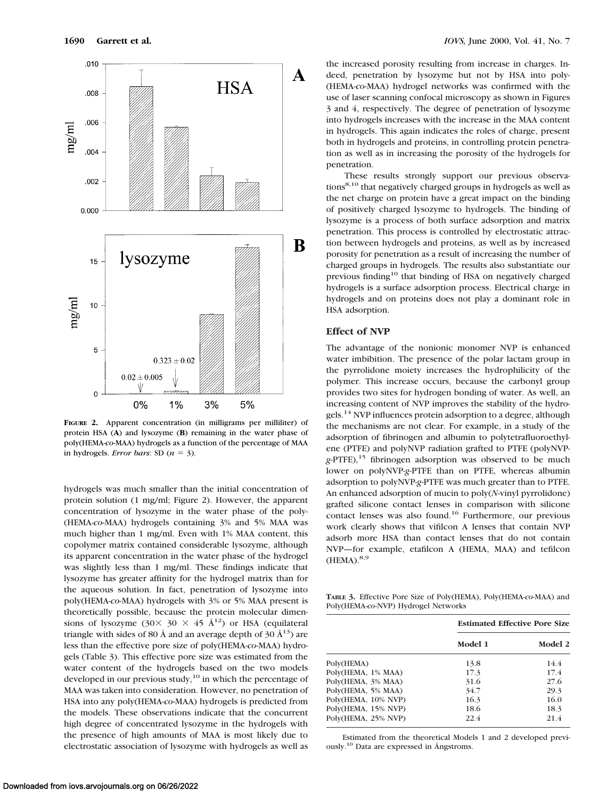

**FIGURE 2.** Apparent concentration (in milligrams per milliliter) of protein HSA (**A**) and lysozyme (**B**) remaining in the water phase of poly(HEMA*-co-*MAA) hydrogels as a function of the percentage of MAA in hydrogels. *Error bars*: SD  $(n = 3)$ .

hydrogels was much smaller than the initial concentration of protein solution (1 mg/ml; Figure 2). However, the apparent concentration of lysozyme in the water phase of the poly- (HEMA*-co-*MAA) hydrogels containing 3% and 5% MAA was much higher than 1 mg/ml. Even with 1% MAA content, this copolymer matrix contained considerable lysozyme, although its apparent concentration in the water phase of the hydrogel was slightly less than 1 mg/ml. These findings indicate that lysozyme has greater affinity for the hydrogel matrix than for the aqueous solution. In fact, penetration of lysozyme into poly(HEMA*-co-*MAA) hydrogels with 3% or 5% MAA present is theoretically possible, because the protein molecular dimensions of lysozyme (30 $\times$  30  $\times$  45 Å<sup>12</sup>) or HSA (equilateral triangle with sides of 80 Å and an average depth of 30  $\AA$ <sup>13</sup>) are less than the effective pore size of poly(HEMA*-co-*MAA) hydrogels (Table 3). This effective pore size was estimated from the water content of the hydrogels based on the two models developed in our previous study, $^{10}$  in which the percentage of MAA was taken into consideration. However, no penetration of HSA into any poly(HEMA*-co-*MAA) hydrogels is predicted from the models. These observations indicate that the concurrent high degree of concentrated lysozyme in the hydrogels with the presence of high amounts of MAA is most likely due to electrostatic association of lysozyme with hydrogels as well as

the increased porosity resulting from increase in charges. Indeed, penetration by lysozyme but not by HSA into poly- (HEMA*-co-*MAA) hydrogel networks was confirmed with the use of laser scanning confocal microscopy as shown in Figures 3 and 4, respectively. The degree of penetration of lysozyme into hydrogels increases with the increase in the MAA content in hydrogels. This again indicates the roles of charge, present both in hydrogels and proteins, in controlling protein penetration as well as in increasing the porosity of the hydrogels for penetration.

These results strongly support our previous observations<sup>8,10</sup> that negatively charged groups in hydrogels as well as the net charge on protein have a great impact on the binding of positively charged lysozyme to hydrogels. The binding of lysozyme is a process of both surface adsorption and matrix penetration. This process is controlled by electrostatic attraction between hydrogels and proteins, as well as by increased porosity for penetration as a result of increasing the number of charged groups in hydrogels. The results also substantiate our previous finding<sup>10</sup> that binding of HSA on negatively charged hydrogels is a surface adsorption process. Electrical charge in hydrogels and on proteins does not play a dominant role in HSA adsorption.

#### **Effect of NVP**

The advantage of the nonionic monomer NVP is enhanced water imbibition. The presence of the polar lactam group in the pyrrolidone moiety increases the hydrophilicity of the polymer. This increase occurs, because the carbonyl group provides two sites for hydrogen bonding of water. As well, an increasing content of NVP improves the stability of the hydrogels.<sup>14</sup> NVP influences protein adsorption to a degree, although the mechanisms are not clear. For example, in a study of the adsorption of fibrinogen and albumin to polytetrafluoroethylene (PTFE) and polyNVP radiation grafted to PTFE (polyNVPg-PTFE),<sup>15</sup> fibrinogen adsorption was observed to be much lower on polyNVP-*g*-PTFE than on PTFE, whereas albumin adsorption to polyNVP-*g*-PTFE was much greater than to PTFE. An enhanced adsorption of mucin to poly(*N*-vinyl pyrrolidone) grafted silicone contact lenses in comparison with silicone contact lenses was also found.16 Furthermore, our previous work clearly shows that vifilcon A lenses that contain NVP adsorb more HSA than contact lenses that do not contain NVP—for example, etafilcon A (HEMA, MAA) and tefilcon  $(HEMA).<sup>8,9</sup>$ 

**TABLE 3.** Effective Pore Size of Poly(HEMA), Poly(HEMA-*co*-MAA) and Poly(HEMA-*co*-NVP) Hydrogel Networks

|                     | <b>Estimated Effective Pore Size</b> |         |  |
|---------------------|--------------------------------------|---------|--|
|                     | Model 1                              | Model 2 |  |
| Poly(HEMA)          | 13.8                                 | 14.4    |  |
| Poly(HEMA, 1% MAA)  | 17.3                                 | 17.4    |  |
| Poly(HEMA, 3% MAA)  | 31.6                                 | 27.6    |  |
| Poly(HEMA, 5% MAA)  | 34.7                                 | 29.3    |  |
| Poly(HEMA, 10% NVP) | 16.3                                 | 16.0    |  |
| Poly(HEMA, 15% NVP) | 18.6                                 | 18.3    |  |
| Poly(HEMA, 25% NVP) | 22.4                                 | 21.4    |  |

Estimated from the theoretical Models 1 and 2 developed previously.10 Data are expressed in Ångstroms.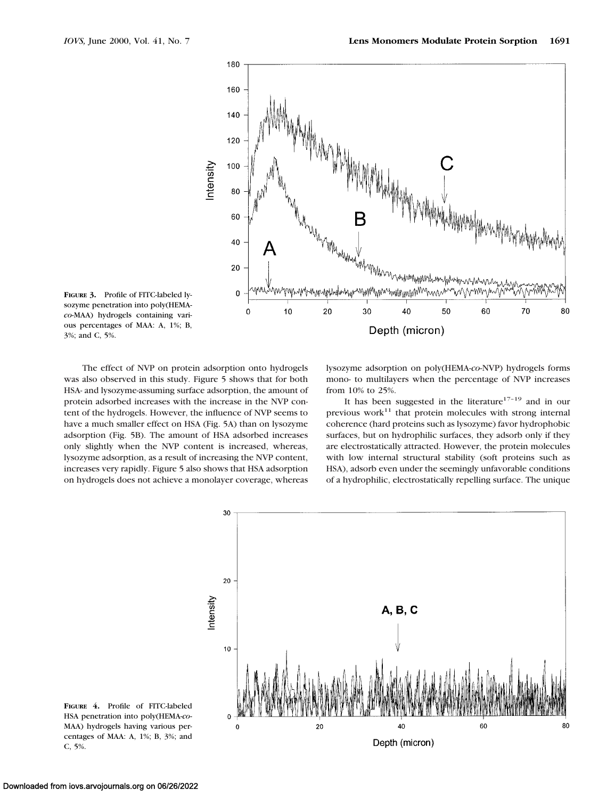

**FIGURE 3.** Profile of FITC-labeled lysozyme penetration into poly(HEMA*co-*MAA) hydrogels containing various percentages of MAA: A, 1%; B, 3%; and C, 5%.

The effect of NVP on protein adsorption onto hydrogels was also observed in this study. Figure 5 shows that for both HSA- and lysozyme-assuming surface adsorption, the amount of protein adsorbed increases with the increase in the NVP content of the hydrogels. However, the influence of NVP seems to have a much smaller effect on HSA (Fig. 5A) than on lysozyme adsorption (Fig. 5B). The amount of HSA adsorbed increases only slightly when the NVP content is increased, whereas, lysozyme adsorption, as a result of increasing the NVP content, increases very rapidly. Figure 5 also shows that HSA adsorption on hydrogels does not achieve a monolayer coverage, whereas

lysozyme adsorption on poly(HEMA*-co-*NVP) hydrogels forms mono- to multilayers when the percentage of NVP increases from 10% to 25%.

It has been suggested in the literature $17-19$  and in our previous work $11$  that protein molecules with strong internal coherence (hard proteins such as lysozyme) favor hydrophobic surfaces, but on hydrophilic surfaces, they adsorb only if they are electrostatically attracted. However, the protein molecules with low internal structural stability (soft proteins such as HSA), adsorb even under the seemingly unfavorable conditions of a hydrophilic, electrostatically repelling surface. The unique



**FIGURE 4.** Profile of FITC-labeled HSA penetration into poly(HEMA*-co-*MAA) hydrogels having various percentages of MAA: A, 1%; B, 3%; and C, 5%.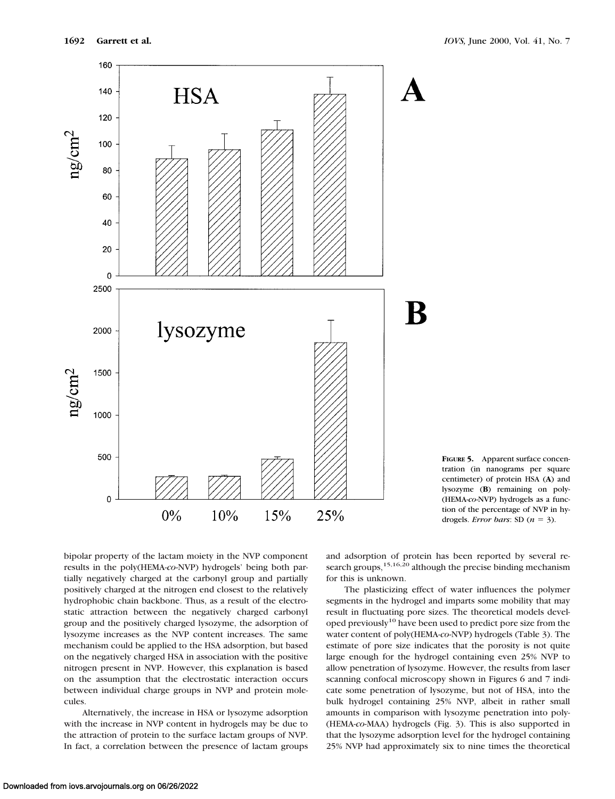



bipolar property of the lactam moiety in the NVP component results in the poly(HEMA*-co-*NVP) hydrogels' being both partially negatively charged at the carbonyl group and partially positively charged at the nitrogen end closest to the relatively hydrophobic chain backbone. Thus, as a result of the electrostatic attraction between the negatively charged carbonyl group and the positively charged lysozyme, the adsorption of lysozyme increases as the NVP content increases. The same mechanism could be applied to the HSA adsorption, but based on the negatively charged HSA in association with the positive nitrogen present in NVP. However, this explanation is based on the assumption that the electrostatic interaction occurs between individual charge groups in NVP and protein molecules.

Alternatively, the increase in HSA or lysozyme adsorption with the increase in NVP content in hydrogels may be due to the attraction of protein to the surface lactam groups of NVP. In fact, a correlation between the presence of lactam groups and adsorption of protein has been reported by several research groups,  $15,16,20$  although the precise binding mechanism for this is unknown.

The plasticizing effect of water influences the polymer segments in the hydrogel and imparts some mobility that may result in fluctuating pore sizes. The theoretical models developed previously<sup>10</sup> have been used to predict pore size from the water content of poly(HEMA*-co-*NVP) hydrogels (Table 3). The estimate of pore size indicates that the porosity is not quite large enough for the hydrogel containing even 25% NVP to allow penetration of lysozyme. However, the results from laser scanning confocal microscopy shown in Figures 6 and 7 indicate some penetration of lysozyme, but not of HSA, into the bulk hydrogel containing 25% NVP, albeit in rather small amounts in comparison with lysozyme penetration into poly- (HEMA*-co-*MAA) hydrogels (Fig. 3). This is also supported in that the lysozyme adsorption level for the hydrogel containing 25% NVP had approximately six to nine times the theoretical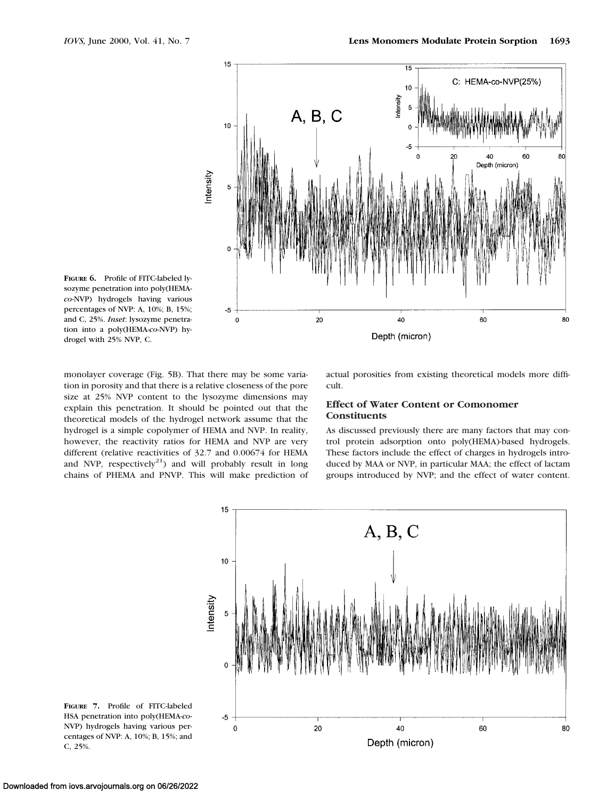

**FIGURE 6.** Profile of FITC-labeled lysozyme penetration into poly(HEMA*co-*NVP) hydrogels having various percentages of NVP: A, 10%; B, 15%; and C, 25%. *Inset*: lysozyme penetration into a poly(HEMA*-co-*NVP) hydrogel with 25% NVP, C.

monolayer coverage (Fig. 5B). That there may be some variation in porosity and that there is a relative closeness of the pore size at 25% NVP content to the lysozyme dimensions may explain this penetration. It should be pointed out that the theoretical models of the hydrogel network assume that the hydrogel is a simple copolymer of HEMA and NVP. In reality, however, the reactivity ratios for HEMA and NVP are very different (relative reactivities of 32.7 and 0.00674 for HEMA and NVP, respectively<sup>21</sup>) and will probably result in long chains of PHEMA and PNVP. This will make prediction of actual porosities from existing theoretical models more difficult.

## **Effect of Water Content or Comonomer Constituents**

As discussed previously there are many factors that may control protein adsorption onto poly(HEMA)-based hydrogels. These factors include the effect of charges in hydrogels introduced by MAA or NVP, in particular MAA; the effect of lactam groups introduced by NVP; and the effect of water content.



**FIGURE 7.** Profile of FITC-labeled HSA penetration into poly(HEMA*-co-*NVP) hydrogels having various percentages of NVP: A, 10%; B, 15%; and C, 25%.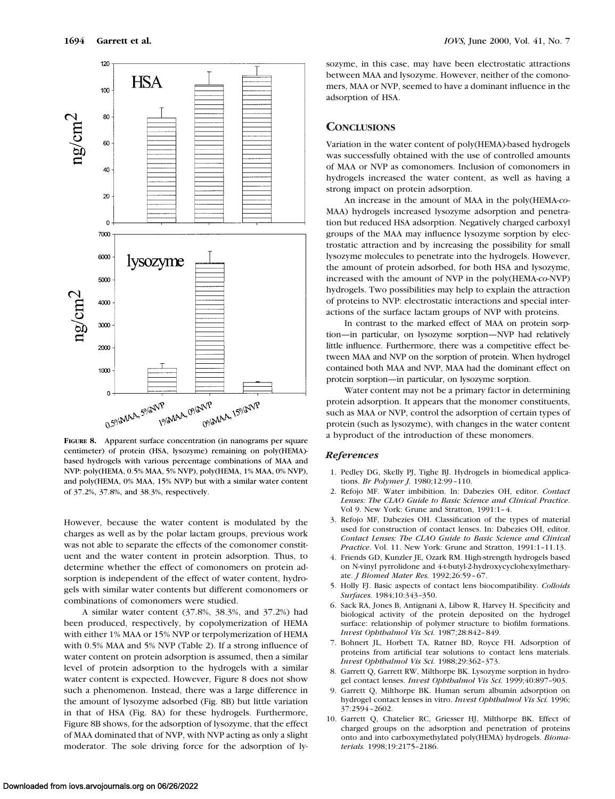

**FIGURE 8.** Apparent surface concentration (in nanograms per square centimeter) of protein (HSA, lysozyme) remaining on poly(HEMA) based hydrogels with various percentage combinations of MAA and NVP: poly(HEMA, 0.5% MAA, 5% NVP), poly(HEMA, 1% MAA, 0% NVP), and poly(HEMA, 0% MAA, 15% NVP) but with a similar water content of 37.2%, 37.8%, and 38.3%, respectively.

However, because the water content is modulated by the charges as well as by the polar lactam groups, previous work was not able to separate the effects of the comonomer constituent and the water content in protein adsorption. Thus, to determine whether the effect of comonomers on protein adsorption is independent of the effect of water content, hydrogels with similar water contents but different comonomers or combinations of comonomers were studied.

A similar water content (37.8%, 38.3%, and 37.2%) had been produced, respectively, by copolymerization of HEMA with either 1% MAA or 15% NVP or terpolymerization of HEMA with 0.5% MAA and 5% NVP (Table 2). If a strong influence of water content on protein adsorption is assumed, then a similar level of protein adsorption to the hydrogels with a similar water content is expected. However, Figure 8 does not show such a phenomenon. Instead, there was a large difference in the amount of lysozyme adsorbed (Fig. 8B) but little variation in that of HSA (Fig. 8A) for these hydrogels. Furthermore, Figure 8B shows, for the adsorption of lysozyme, that the effect of MAA dominated that of NVP, with NVP acting as only a slight moderator. The sole driving force for the adsorption of lysozyme, in this case, may have been electrostatic attractions between MAA and lysozyme. However, neither of the comonomers, MAA or NVP, seemed to have a dominant influence in the adsorption of HSA.

## **CONCLUSIONS**

Variation in the water content of poly(HEMA)-based hydrogels was successfully obtained with the use of controlled amounts of MAA or NVP as comonomers. Inclusion of comonomers in hydrogels increased the water content, as well as having a strong impact on protein adsorption.

An increase in the amount of MAA in the poly(HEMA*-co-*MAA) hydrogels increased lysozyme adsorption and penetration but reduced HSA adsorption. Negatively charged carboxyl groups of the MAA may influence lysozyme sorption by electrostatic attraction and by increasing the possibility for small lysozyme molecules to penetrate into the hydrogels. However, the amount of protein adsorbed, for both HSA and lysozyme, increased with the amount of NVP in the poly(HEMA*-co-*NVP) hydrogels. Two possibilities may help to explain the attraction of proteins to NVP: electrostatic interactions and special interactions of the surface lactam groups of NVP with proteins.

In contrast to the marked effect of MAA on protein sorption—in particular, on lysozyme sorption—NVP had relatively little influence. Furthermore, there was a competitive effect between MAA and NVP on the sorption of protein. When hydrogel contained both MAA and NVP, MAA had the dominant effect on protein sorption—in particular, on lysozyme sorption.

Water content may not be a primary factor in determining protein adsorption. It appears that the monomer constituents, such as MAA or NVP, control the adsorption of certain types of protein (such as lysozyme), with changes in the water content a byproduct of the introduction of these monomers.

#### *References*

- 1. Pedley DG, Skelly PJ, Tighe BJ. Hydrogels in biomedical applications. *Br Polymer J.* 1980;12:99–110.
- 2. Refojo MF. Water imbibition. In: Dabezies OH, editor. *Contact Lenses: The CLAO Guide to Basic Science and Clinical Practice*. Vol 9. New York: Grune and Stratton, 1991:1–4.
- 3. Refojo MF, Dabezies OH. Classification of the types of material used for construction of contact lenses. In: Dabezies OH, editor. *Contact Lenses: The CLAO Guide to Basic Science and Clinical Practice*. Vol. 11. New York: Grune and Stratton, 1991:1–11.13.
- 4. Friends GD, Kunzler JE, Ozark RM. High-strength hydrogels based on N-vinyl pyrrolidone and 4-t-butyl-2-hydroxycyclohexylmetharyate. *J Biomed Mater Res.* 1992;26:59–67.
- 5. Holly FJ. Basic aspects of contact lens biocompatibility. *Colloids Surfaces.* 1984;10:343–350.
- 6. Sack RA, Jones B, Antignani A, Libow R, Harvey H. Specificity and biological activity of the protein deposited on the hydrogel surface: relationship of polymer structure to biofilm formations. *Invest Ophthalmol Vis Sci.* 1987;28:842–849.
- 7. Bohnert JL, Horbett TA, Ratner BD, Royce FH. Adsorption of proteins from artificial tear solutions to contact lens materials. *Invest Ophthalmol Vis Sci.* 1988;29:362–373.
- 8. Garrett Q, Garrett RW, Milthorpe BK. Lysozyme sorption in hydrogel contact lenses. *Invest Ophthalmol Vis Sci.* 1999;40:897–903.
- 9. Garrett Q, Milthorpe BK. Human serum albumin adsorption on hydrogel contact lenses in vitro. *Invest Ophthalmol Vis Sci.* 1996; 37:2594–2602.
- 10. Garrett Q, Chatelier RC, Griesser HJ, Milthorpe BK. Effect of charged groups on the adsorption and penetration of proteins onto and into carboxymethylated poly(HEMA) hydrogels. *Biomaterials.* 1998;19:2175–2186.